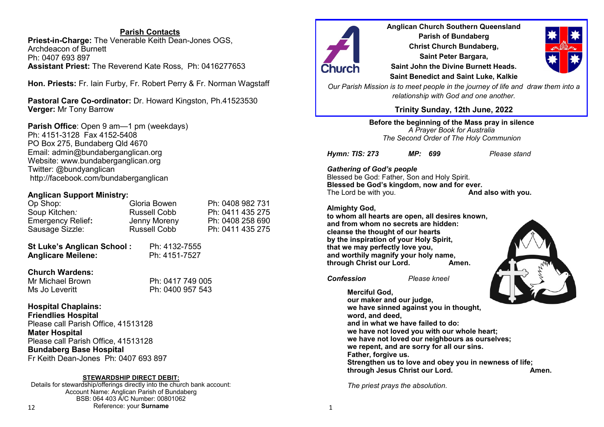# **Parish Contacts**

**Priest-in-Charge:** The Venerable Keith Dean-Jones OGS, Archdeacon of Burnett Ph: 0407 693 897 **Assistant Priest:** The Reverend Kate Ross, Ph: 0416277653

**Hon. Priests:** Fr. Iain Furby, Fr. Robert Perry & Fr. Norman Wagstaff

**Pastoral Care Co-ordinator:** Dr. Howard Kingston, Ph.41523530 **Verger:** Mr Tony Barrow

**Parish Office**: Open 9 am—1 pm (weekdays) Ph: 4151-3128 Fax 4152-5408 PO Box 275, Bundaberg Qld 4670 Email: admin@bundaberganglican.org Website: www.bundaberganglican.org

Twitter: @bundyanglican http://facebook.com/bundaberganglican

# **Anglican Support Ministry:**

| Op Shop:                 | Gloria Bowen        | Ph: 0408 982 731 |
|--------------------------|---------------------|------------------|
| Soup Kitchen:            | Russell Cobb        | Ph: 0411 435 275 |
| <b>Emergency Relief:</b> | Jenny Moreny        | Ph: 0408 258 690 |
| Sausage Sizzle:          | <b>Russell Cobb</b> | Ph: 0411 435 275 |
|                          |                     |                  |

**St Luke's Anglican School :** Ph: 4132-7555 **Anglicare Meilene:** Ph: 4151-7527

# **Church Wardens:**

| Mr Michael Brown | Ph: 0417 749 005 |
|------------------|------------------|
| Ms Jo Leveritt   | Ph: 0400 957 543 |

# **Hospital Chaplains:**

**Friendlies Hospital**  Please call Parish Office, 41513128 **Mater Hospital**  Please call Parish Office, 41513128 **Bundaberg Base Hospital**  Fr Keith Dean-Jones Ph: 0407 693 897

### **STEWARDSHIP DIRECT DEBIT:**

Details for stewardship/offerings directly into the church bank account: Account Name: Anglican Parish of Bundaberg BSB: 064 403 A/C Number: 00801062 Reference: your **Surname** 1



**Anglican Church Southern Queensland Parish of Bundaberg Christ Church Bundaberg, Saint Peter Bargara, Saint John the Divine Burnett Heads. Saint Benedict and Saint Luke, Kalkie**



*Our Parish Mission is to meet people in the journey of life and draw them into a relationship with God and one another.* 

### **Trinity Sunday, 12th June, 2022**

**Before the beginning of the Mass pray in silence** *A Prayer Book for Australia The Second Order of The Holy Communion*

*Hymn: TIS: 273 MP: 699 Please stand*

*Gathering of God's people*

Blessed be God: Father, Son and Holy Spirit. **Blessed be God's kingdom, now and for ever.** The Lord be with you. **And also with you.**

### **Almighty God,**

**to whom all hearts are open, all desires known, and from whom no secrets are hidden: cleanse the thought of our hearts by the inspiration of your Holy Spirit, that we may perfectly love you, and worthily magnify your holy name, through Christ our Lord. Amen.**



*Confession Please kneel*

**Merciful God, our maker and our judge, we have sinned against you in thought, word, and deed, and in what we have failed to do: we have not loved you with our whole heart; we have not loved our neighbours as ourselves; we repent, and are sorry for all our sins. Father, forgive us. Strengthen us to love and obey you in newness of life; through Jesus Christ our Lord. Amen. Amen.** 

*The priest prays the absolution.*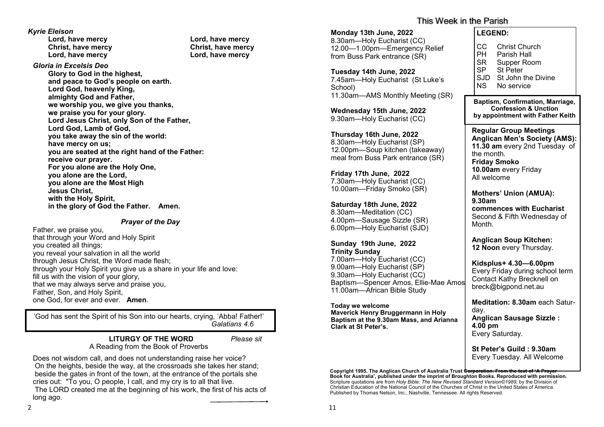*Kyrie Eleison*

**Lord, have mercy Lord, have mercy Christ, have mercy Christ, have mercy Lord, have mercy Lord, have mercy**

*Gloria in Excelsis Deo*

**Glory to God in the highest, and peace to God's people on earth. Lord God, heavenly King, almighty God and Father, we worship you, we give you thanks, we praise you for your glory. Lord Jesus Christ, only Son of the Father, Lord God, Lamb of God, you take away the sin of the world: have mercy on us; you are seated at the right hand of the Father: receive our prayer. For you alone are the Holy One, you alone are the Lord, you alone are the Most High Jesus Christ, with the Holy Spirit, in the glory of God the Father. Amen.**

### *Prayer of the Day*

Father, we praise you, that through your Word and Holy Spirit you created all things; you reveal your salvation in all the world through Jesus Christ, the Word made flesh; through your Holy Spirit you give us a share in your life and love: fill us with the vision of your glory, that we may always serve and praise you, Father, Son, and Holy Spirit, one God, for ever and ever. **Amen**.

'God has sent the Spirit of his Son into our hearts, crying, 'Abba! Father!' *Galatians 4.6*

> **LITURGY OF THE WORD** *Please sit* A Reading from the Book of Proverbs

Does not wisdom call, and does not understanding raise her voice? On the heights, beside the way, at the crossroads she takes her stand; beside the gates in front of the town, at the entrance of the portals she cries out: "To you, O people, I call, and my cry is to all that live. The LORD created me at the beginning of his work, the first of his acts of long ago.

# This Week in the Parish

**LEGEND:**

**Monday 13th June, 2022** 8.30am—Holy Eucharist (CC) 12.00—1.00pm—Emergency Relief from Buss Park entrance (SR)

**Tuesday 14th June, 2022** 7.45am—Holy Eucharist (St Luke's School) 11.30am—AMS Monthly Meeting (SR)

**Wednesday 15th June, 2022** 9.30am—Holy Eucharist (CC)

**Thursday 16th June, 2022** 8.30am—Holy Eucharist (SP) 12.00pm—Soup kitchen (takeaway) meal from Buss Park entrance (SR)

**Friday 17th June, 2022** 7.30am—Holy Eucharist (CC) 10.00am—Friday Smoko (SR)

**Saturday 18th June, 2022** 8.30am—Meditation (CC) 4.00pm—Sausage Sizzle (SR) 6.00pm—Holy Eucharist (SJD)

**Sunday 19th June, 2022 Trinity Sunday** 7.00am—Holy Eucharist (CC) 9.00am—Holy Eucharist (SP) 9.30am—Holy Eucharist (CC) Baptism—Spencer Amos, Ellie-Mae Amos 11.00am—African Bible Study

**Today we welcome Maverick Henry Bruggermann in Holy Baptism at the 9.30am Mass, and Arianna Clark at St Peter's.**

**Baptism, Confirmation, Marriage, Confession & Unction by appointment with Father Keith** CC Christ Church<br>PH Parish Hall PH Parish Hall<br>SR Supper Roo Supper Room SP St Peter SJD St John the Divine NS No service **Regular Group Meetings Anglican Men's Society (AMS): 11.30 am** every 2nd Tuesday of the month. **Friday Smoko 10.00am** every Friday All welcome

**Mothers' Union (AMUA): 9.30am commences with Eucharist**  Second & Fifth Wednesday of Month.

**Anglican Soup Kitchen: 12 Noon** every Thursday.

**Kidsplus+ 4.30—6.00pm**  Every Friday during school term Contact Kathy Brecknell on breck@bigpond.net.au

**Meditation: 8.30am** each Saturday. **Anglican Sausage Sizzle : 4.00 pm** Every Saturday.

**St Peter's Guild : 9.30am** Every Tuesday. All Welcome

**Copyright 1995. The Anglican Church of Australia Trust Corporation. From the text of 'A Prayer Book for Australia', published under the imprint of Broughton Books. Reproduced with permission.**  Scripture quotations are from *Holy Bible: The New Revised Standard Version©1989,* by the Division of Christian Education of the National Council of the Churches of Christ in the United States of America. Published by Thomas Nelson, Inc., Nashville, Tennessee. All rights Reserved.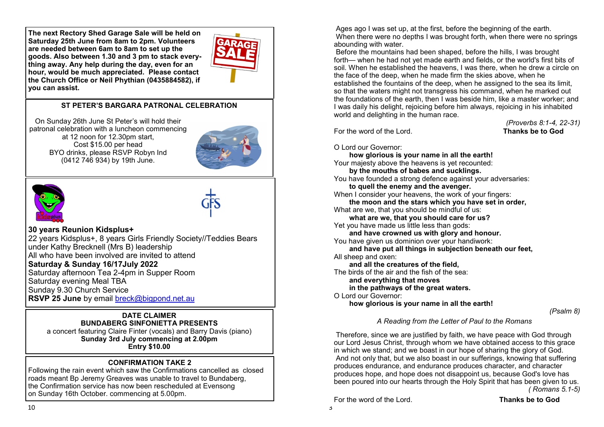**The next Rectory Shed Garage Sale will be held on Saturday 25th June from 8am to 2pm. Volunteers are needed between 6am to 8am to set up the goods. Also between 1.30 and 3 pm to stack everything away. Any help during the day, even for an hour, would be much appreciated. Please contact the Church Office or Neil Phythian (0435884582), if you can assist.** 



### **ST PETER'S BARGARA PATRONAL CELEBRATION**

On Sunday 26th June St Peter's will hold their patronal celebration with a luncheon commencing at 12 noon for 12.30pm start, Cost \$15.00 per head BYO drinks, please RSVP Robyn Ind (0412 746 934) by 19th June.





# **30 years Reunion Kidsplus+**

22 years Kidsplus+, 8 years Girls Friendly Society//Teddies Bears under Kathy Brecknell (Mrs B) leadership All who have been involved are invited to attend **Saturday & Sunday 16/17July 2022** Saturday afternoon Tea 2-4pm in Supper Room Saturday evening Meal TBA Sunday 9.30 Church Service **RSVP 25 June** by email [breck@bigpond.net.au](mailto:breck@bigpond.net.au)

### **DATE CLAIMER BUNDABERG SINFONIETTA PRESENTS**

a concert featuring Claire Finter (vocals) and Barry Davis (piano) **Sunday 3rd July commencing at 2.00pm Entry \$10.00**

# **CONFIRMATION TAKE 2**

Following the rain event which saw the Confirmations cancelled as closed roads meant Bp Jeremy Greaves was unable to travel to Bundaberg, the Confirmation service has now been rescheduled at Evensong on Sunday 16th October. commencing at 5.00pm.

Ages ago I was set up, at the first, before the beginning of the earth. When there were no depths I was brought forth, when there were no springs abounding with water.

Before the mountains had been shaped, before the hills, I was brought forth— when he had not yet made earth and fields, or the world's first bits of soil. When he established the heavens, I was there, when he drew a circle on the face of the deep, when he made firm the skies above, when he established the fountains of the deep, when he assigned to the sea its limit, so that the waters might not transgress his command, when he marked out the foundations of the earth, then I was beside him, like a master worker; and I was daily his delight, rejoicing before him always, rejoicing in his inhabited world and delighting in the human race.

For the word of the Lord.

*(Proverbs 8:1-4, 22-31)* 

O Lord our Governor:

**how glorious is your name in all the earth!** Your majesty above the heavens is yet recounted: **by the mouths of babes and sucklings.** You have founded a strong defence against your adversaries: **to quell the enemy and the avenger.**

When I consider your heavens, the work of your fingers: **the moon and the stars which you have set in order,**

What are we, that you should be mindful of us:

**what are we, that you should care for us?**

Yet you have made us little less than gods:

**and have crowned us with glory and honour.**

You have given us dominion over your handiwork:

**and have put all things in subjection beneath our feet,** All sheep and oxen:

**and all the creatures of the field,**

The birds of the air and the fish of the sea:

**and everything that moves**

**in the pathways of the great waters.**

O Lord our Governor:

**how glorious is your name in all the earth!**

*(Psalm 8)*

*A Reading from the Letter of Paul to the Romans* 

Therefore, since we are justified by faith, we have peace with God through our Lord Jesus Christ, through whom we have obtained access to this grace in which we stand; and we boast in our hope of sharing the glory of God. And not only that, but we also boast in our sufferings, knowing that suffering produces endurance, and endurance produces character, and character produces hope, and hope does not disappoint us, because God's love has been poured into our hearts through the Holy Spirit that has been given to us. *( Romans 5.1-5)*

For the word of the Lord. **Thanks be to God**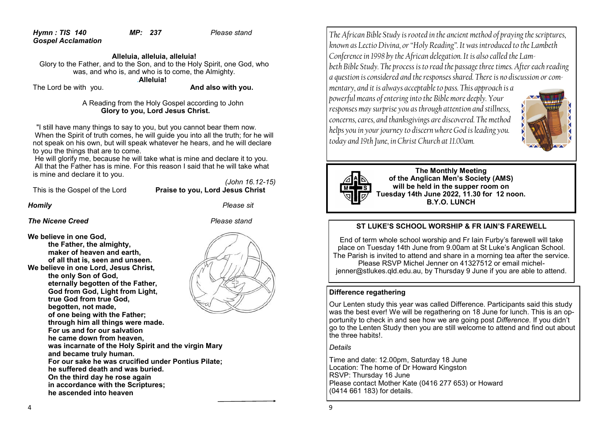*Hymn : TIS 140 MP: 237 Please stand Gospel Acclamation* 

**Alleluia, alleluia, alleluia!**  Glory to the Father, and to the Son, and to the Holy Spirit, one God, who was, and who is, and who is to come, the Almighty. .**Alleluia!** 

The Lord be with you. **And also with you.**

### A Reading from the Holy Gospel according to John **Glory to you, Lord Jesus Christ.**

"I still have many things to say to you, but you cannot bear them now. When the Spirit of truth comes, he will guide you into all the truth; for he will not speak on his own, but will speak whatever he hears, and he will declare to you the things that are to come.

He will glorify me, because he will take what is mine and declare it to you. All that the Father has is mine. For this reason I said that he will take what is mine and declare it to you.

This is the Gospel of the Lord **Praise to you, Lord Jesus Christ**

*Homily**Please sit*

*(John 16.12-15)*

*The Nicene Creed Please stand*

**We believe in one God, the Father, the almighty, maker of heaven and earth, of all that is, seen and unseen. We believe in one Lord, Jesus Christ, the only Son of God, eternally begotten of the Father, God from God, Light from Light, true God from true God, begotten, not made, of one being with the Father; through him all things were made. For us and for our salvation he came down from heaven, was incarnate of the Holy Spirit and the virgin Mary and became truly human. For our sake he was crucified under Pontius Pilate; he suffered death and was buried. On the third day he rose again in accordance with the Scriptures; he ascended into heaven** 

*The African Bible Study is rooted in the ancient method of praying the scriptures, known as Lectio Divina, or "Holy Reading". It was introduced to the Lambeth Conference in 1998 by the African delegation. It is also called the Lambeth Bible Study. The process is to read the passage three times. After each reading a question is considered and the responses shared. There is no discussion or com-*

*mentary, and it is always acceptable to pass. This approach is a powerful means of entering into the Biblemore deeply. Your responses may surprise you as through attention and stillness, concerns, cares, and thanksgivings are discovered. The method helps you in your journey to discern where God is leading you. today and 19th June, in Christ Church at 11.00am.*





**The Monthly Meeting of the Anglican Men's Society (AMS) will be held in the supper room on Tuesday 14th June 2022, 11.30 for 12 noon. B.Y.O. LUNCH** 

# **ST LUKE'S SCHOOL WORSHIP & FR IAIN'S FAREWELL**

End of term whole school worship and Fr Iain Furby's farewell will take place on Tuesday 14th June from 9.00am at St Luke's Anglican School. The Parish is invited to attend and share in a morning tea after the service. Please RSVP Michel Jenner on 41327512 or email micheljenner@stlukes.qld.edu.au, by Thursday 9 June if you are able to attend.

# **Difference regathering**

Our Lenten study this year was called Difference. Participants said this study was the best ever! We will be regathering on 18 June for lunch. This is an opportunity to check in and see how we are going post *Difference*. If you didn't go to the Lenten Study then you are still welcome to attend and find out about the three habits!.

### *Details*

Time and date: 12.00pm, Saturday 18 June Location: The home of Dr Howard Kingston RSVP: Thursday 16 June Please contact Mother Kate (0416 277 653) or Howard (0414 661 183) for details.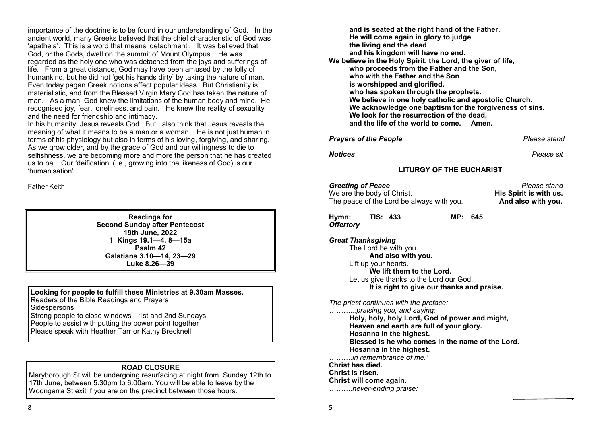importance of the doctrine is to be found in our understanding of God. In the ancient world, many Greeks believed that the chief characteristic of God was 'apatheia'. This is a word that means 'detachment'. It was believed that God, or the Gods, dwell on the summit of Mount Olympus. He was regarded as the holy one who was detached from the joys and sufferings of life. From a great distance, God may have been amused by the folly of humankind, but he did not 'get his hands dirty' by taking the nature of man. Even today pagan Greek notions affect popular ideas. But Christianity is materialistic, and from the Blessed Virgin Mary God has taken the nature of man. As a man, God knew the limitations of the human body and mind. He recognised joy, fear, loneliness, and pain. He knew the reality of sexuality and the need for friendship and intimacy.

In his humanity, Jesus reveals God. But I also think that Jesus reveals the meaning of what it means to be a man or a woman. He is not just human in terms of his physiology but also in terms of his loving, forgiving, and sharing. As we grow older, and by the grace of God and our willingness to die to selfishness, we are becoming more and more the person that he has created us to be. Our 'deification' (i.e., growing into the likeness of God) is our 'humanisation'.

Father Keith

**Readings for Second Sunday after Pentecost 19th June, 2022 1 Kings 19.1—4, 8—15a Psalm 42 Galatians 3.10—14, 23—29 Luke 8.26—39**

**Looking for people to fulfill these Ministries at 9.30am Masses.** Readers of the Bible Readings and Prayers **Sidespersons** Strong people to close windows—1st and 2nd Sundays People to assist with putting the power point together Please speak with Heather Tarr or Kathy Brecknell

# **ROAD CLOSURE**

Maryborough St will be undergoing resurfacing at night from Sunday 12th to 17th June, between 5.30pm to 6.00am. You will be able to leave by the Woongarra St exit if you are on the precinct between those hours.

**and is seated at the right hand of the Father. He will come again in glory to judge the living and the dead and his kingdom will have no end. We believe in the Holy Spirit, the Lord, the giver of life, who proceeds from the Father and the Son, who with the Father and the Son is worshipped and glorified, who has spoken through the prophets. We believe in one holy catholic and apostolic Church. We acknowledge one baptism for the forgiveness of sins. We look for the resurrection of the dead, and the life of the world to come. Amen. Prayers of the People** *Prayers of the People Notices Please sit* **LITURGY OF THE EUCHARIST Greeting of Peace** *Please stand*<br>
We are the body of Christ. *Please stand*<br> **Plus Spirit is with us.** We are the body of Christ. The peace of the Lord be always with you. **And also with you. Hymn: TIS: 433 MP: 645** *Offertory Great Thanksgiving* The Lord be with you. **And also with you.** Lift up your hearts. **We lift them to the Lord.**  Let us give thanks to the Lord our God. **It is right to give our thanks and praise.** 

*The priest continues with the preface: ………...praising you, and saying:* **Holy, holy, holy Lord, God of power and might, Heaven and earth are full of your glory. Hosanna in the highest. Blessed is he who comes in the name of the Lord. Hosanna in the highest.** *……….in remembrance of me.'* **Christ has died. Christ is risen. Christ will come again.**  *……….never-ending praise:*